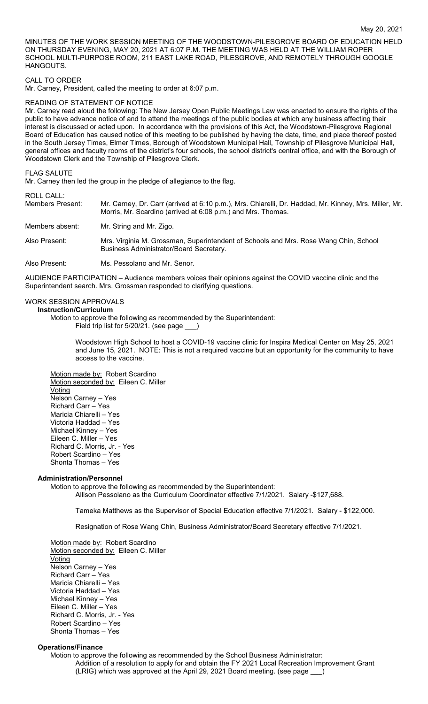MINUTES OF THE WORK SESSION MEETING OF THE WOODSTOWN-PILESGROVE BOARD OF EDUCATION HELD ON THURSDAY EVENING, MAY 20, 2021 AT 6:07 P.M. THE MEETING WAS HELD AT THE WILLIAM ROPER SCHOOL MULTI-PURPOSE ROOM, 211 EAST LAKE ROAD, PILESGROVE, AND REMOTELY THROUGH GOOGLE HANGOUTS.

## CALL TO ORDER

Mr. Carney, President, called the meeting to order at 6:07 p.m.

#### READING OF STATEMENT OF NOTICE

Mr. Carney read aloud the following: The New Jersey Open Public Meetings Law was enacted to ensure the rights of the public to have advance notice of and to attend the meetings of the public bodies at which any business affecting their interest is discussed or acted upon. In accordance with the provisions of this Act, the Woodstown-Pilesgrove Regional Board of Education has caused notice of this meeting to be published by having the date, time, and place thereof posted in the South Jersey Times, Elmer Times, Borough of Woodstown Municipal Hall, Township of Pilesgrove Municipal Hall, general offices and faculty rooms of the district's four schools, the school district's central office, and with the Borough of Woodstown Clerk and the Township of Pilesgrove Clerk.

#### FLAG SALUTE

Mr. Carney then led the group in the pledge of allegiance to the flag.

#### ROLL CALL:

| Members Present: | Mr. Carney, Dr. Carr (arrived at 6:10 p.m.), Mrs. Chiarelli, Dr. Haddad, Mr. Kinney, Mrs. Miller, Mr.<br>Morris, Mr. Scardino (arrived at 6:08 p.m.) and Mrs. Thomas. |
|------------------|-----------------------------------------------------------------------------------------------------------------------------------------------------------------------|
| Members absent:  | Mr. String and Mr. Zigo.                                                                                                                                              |
| Also Present:    | Mrs. Virginia M. Grossman, Superintendent of Schools and Mrs. Rose Wang Chin, School<br>Business Administrator/Board Secretary.                                       |
| Also Present:    | Ms. Pessolano and Mr. Senor.                                                                                                                                          |

AUDIENCE PARTICIPATION – Audience members voices their opinions against the COVID vaccine clinic and the Superintendent search. Mrs. Grossman responded to clarifying questions.

#### WORK SESSION APPROVALS

## **Instruction/Curriculum**

Motion to approve the following as recommended by the Superintendent: Field trip list for 5/20/21. (see page

Woodstown High School to host a COVID-19 vaccine clinic for Inspira Medical Center on May 25, 2021 and June 15, 2021. NOTE: This is not a required vaccine but an opportunity for the community to have access to the vaccine.

Motion made by: Robert Scardino Motion seconded by: Eileen C. Miller **Voting** Nelson Carney – Yes Richard Carr – Yes Maricia Chiarelli – Yes Victoria Haddad – Yes Michael Kinney – Yes Eileen C. Miller – Yes Richard C. Morris, Jr. - Yes Robert Scardino – Yes Shonta Thomas – Yes

## **Administration/Personnel**

Motion to approve the following as recommended by the Superintendent: Allison Pessolano as the Curriculum Coordinator effective 7/1/2021. Salary -\$127,688.

Tameka Matthews as the Supervisor of Special Education effective 7/1/2021. Salary - \$122,000.

Resignation of Rose Wang Chin, Business Administrator/Board Secretary effective 7/1/2021.

Motion made by: Robert Scardino Motion seconded by: Eileen C. Miller Voting Nelson Carney – Yes Richard Carr – Yes Maricia Chiarelli – Yes Victoria Haddad – Yes Michael Kinney – Yes Eileen C. Miller – Yes Richard C. Morris, Jr. - Yes Robert Scardino – Yes Shonta Thomas – Yes

## **Operations/Finance**

Motion to approve the following as recommended by the School Business Administrator: Addition of a resolution to apply for and obtain the FY 2021 Local Recreation Improvement Grant (LRIG) which was approved at the April 29, 2021 Board meeting. (see page \_\_\_)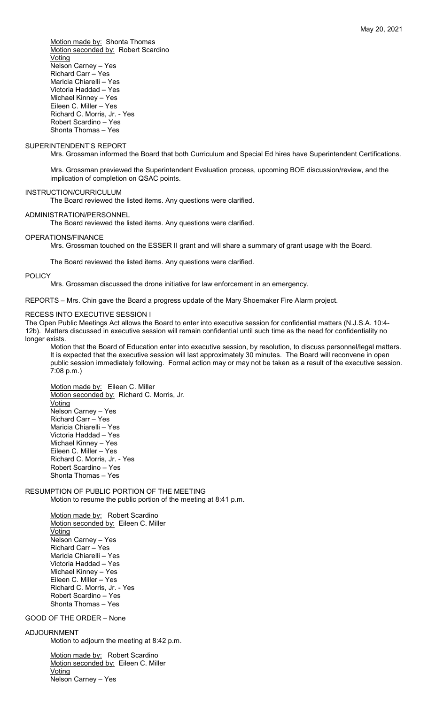Motion made by: Shonta Thomas Motion seconded by: Robert Scardino **Voting** Nelson Carney – Yes Richard Carr – Yes Maricia Chiarelli – Yes Victoria Haddad – Yes Michael Kinney – Yes Eileen C. Miller – Yes Richard C. Morris, Jr. - Yes Robert Scardino – Yes

#### SUPERINTENDENT'S REPORT

Shonta Thomas – Yes

Mrs. Grossman informed the Board that both Curriculum and Special Ed hires have Superintendent Certifications.

Mrs. Grossman previewed the Superintendent Evaluation process, upcoming BOE discussion/review, and the implication of completion on QSAC points.

## INSTRUCTION/CURRICULUM

The Board reviewed the listed items. Any questions were clarified.

### ADMINISTRATION/PERSONNEL

The Board reviewed the listed items. Any questions were clarified.

## OPERATIONS/FINANCE

Mrs. Grossman touched on the ESSER II grant and will share a summary of grant usage with the Board.

The Board reviewed the listed items. Any questions were clarified.

#### **POLICY**

Mrs. Grossman discussed the drone initiative for law enforcement in an emergency.

REPORTS – Mrs. Chin gave the Board a progress update of the Mary Shoemaker Fire Alarm project.

#### RECESS INTO EXECUTIVE SESSION I

The Open Public Meetings Act allows the Board to enter into executive session for confidential matters (N.J.S.A. 10:4- 12b). Matters discussed in executive session will remain confidential until such time as the need for confidentiality no longer exists.

Motion that the Board of Education enter into executive session, by resolution, to discuss personnel/legal matters. It is expected that the executive session will last approximately 30 minutes. The Board will reconvene in open public session immediately following. Formal action may or may not be taken as a result of the executive session. 7:08 p.m.)

Motion made by: Eileen C. Miller Motion seconded by: Richard C. Morris, Jr. **Voting** Nelson Carney – Yes Richard Carr – Yes Maricia Chiarelli – Yes Victoria Haddad – Yes Michael Kinney – Yes Eileen C. Miller – Yes Richard C. Morris, Jr. - Yes Robert Scardino – Yes Shonta Thomas – Yes

# RESUMPTION OF PUBLIC PORTION OF THE MEETING

Motion to resume the public portion of the meeting at 8:41 p.m.

Motion made by: Robert Scardino Motion seconded by: Eileen C. Miller Voting Nelson Carney – Yes Richard Carr – Yes Maricia Chiarelli – Yes Victoria Haddad – Yes Michael Kinney – Yes Eileen C. Miller – Yes Richard C. Morris, Jr. - Yes Robert Scardino – Yes Shonta Thomas – Yes

GOOD OF THE ORDER – None

## ADJOURNMENT

Motion to adjourn the meeting at 8:42 p.m.

Motion made by: Robert Scardino Motion seconded by: Eileen C. Miller Voting Nelson Carney – Yes